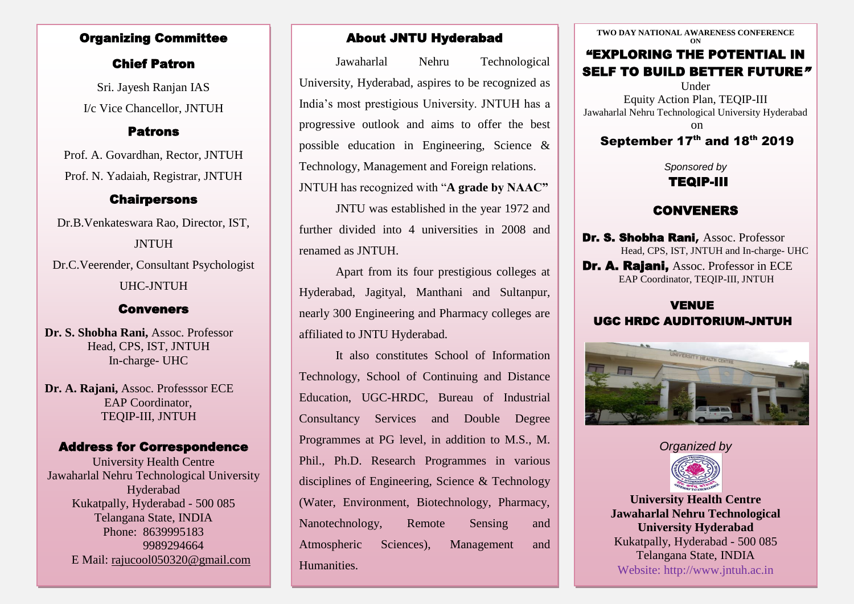### Organizing Committee

## Chief Patron

I/c Vice Chancellor, JNTUH Sri. Jayesh Ranjan IAS

### Patrons

Prof. A. Govardhan, Rector, JNTUH Prof. N. Yadaiah, Registrar, JNTUH

# **Chairpersons**

Dr.B.Venkateswara Rao, Director, IST, JNTUH Dr.C.Veerender, Consultant Psychologist UHC-JNTUH

## Conveners

**Dr. S. Shobha Rani,** Assoc. Professor Head, CPS, IST, JNTUH In-charge- UHC

**Dr. A. Rajani,** Assoc. Professsor ECE EAP Coordinator, TEQIP-III, JNTUH

## Address for Correspondence

University Health Centre Jawaharlal Nehru Technological University Hyderabad Kukatpally, Hyderabad - 500 085 Telangana State, INDIA Phone: 8639995183 9989294664 E Mail: rajucool050320@gmail.com

## About JNTU Hyderabad

Jawaharlal Nehru Technological University, Hyderabad, aspires to be recognized as India's most prestigious University. JNTUH has a progressive outlook and aims to offer the best possible education in Engineering, Science & Technology, Management and Foreign relations. JNTUH has recognized with "**A grade by NAAC"**

JNTU was established in the year 1972 and further divided into 4 universities in 2008 and renamed as JNTUH.

Apart from its four prestigious colleges at Hyderabad, Jagityal, Manthani and Sultanpur, nearly 300 Engineering and Pharmacy colleges are affiliated to JNTU Hyderabad.

It also constitutes School of Information Technology, School of Continuing and Distance Education, UGC-HRDC, Bureau of Industrial Consultancy Services and Double Degree Programmes at PG level, in addition to M.S., M. Phil., Ph.D. Research Programmes in various disciplines of Engineering, Science & Technology (Water, Environment, Biotechnology, Pharmacy, Nanotechnology, Remote Sensing and Atmospheric Sciences), Management and Humanities.

**TWO DAY NATIONAL AWARENESS CONFERENCE ON** "EXPLORING THE POTENTIAL IN SELF TO BUILD BETTER FUTURE" Under Equity Action Plan, TEQIP-III

Jawaharlal Nehru Technological University Hyderabad

on

# September  $17<sup>th</sup>$  and  $18<sup>th</sup>$  2019

*Sponsored by*

# TEQIP-III

# CONVENERS

Dr. S. Shobha Rani**,** Assoc. Professor Head, CPS, IST, JNTUH and In-charge- UHC Dr. A. Rajani, Assoc. Professor in ECE

EAP Coordinator, TEQIP-III, JNTUH

## VENUE UGC HRDC AUDITORIUM-JNTUH



*Organized by* 



**University Health Centre Jawaharlal Nehru Technological University Hyderabad** Kukatpally, Hyderabad - 500 085 Telangana State, INDIA Website: http://www.jntuh.ac.in